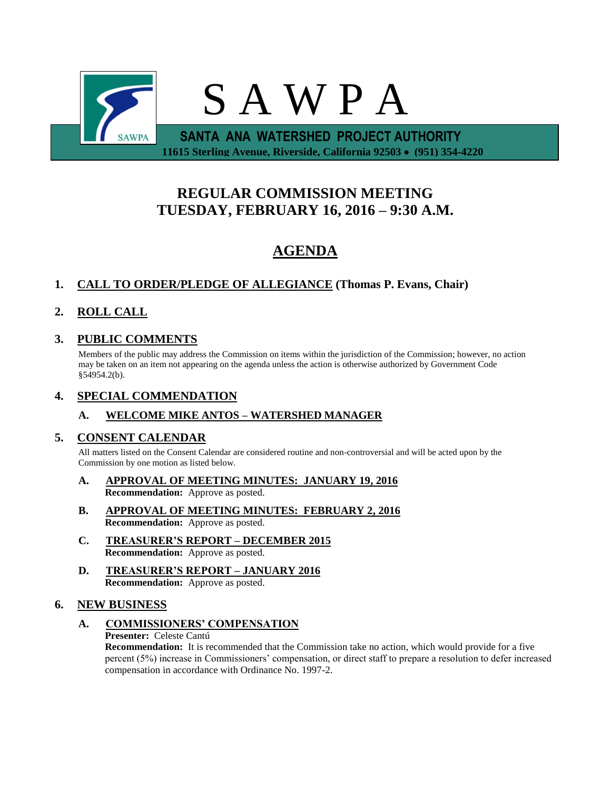

# **REGULAR COMMISSION MEETING TUESDAY, FEBRUARY 16, 2016 – 9:30 A.M.**

# **AGENDA**

# **1. CALL TO ORDER/PLEDGE OF ALLEGIANCE (Thomas P. Evans, Chair)**

# **2. ROLL CALL**

## **3. PUBLIC COMMENTS**

Members of the public may address the Commission on items within the jurisdiction of the Commission; however, no action may be taken on an item not appearing on the agenda unless the action is otherwise authorized by Government Code §54954.2(b).

### **4. SPECIAL COMMENDATION**

### **A. WELCOME MIKE ANTOS – WATERSHED MANAGER**

### **5. CONSENT CALENDAR**

All matters listed on the Consent Calendar are considered routine and non-controversial and will be acted upon by the Commission by one motion as listed below.

- **A. APPROVAL OF MEETING MINUTES: JANUARY 19, 2016 Recommendation:** Approve as posted.
- **B. APPROVAL OF MEETING MINUTES: FEBRUARY 2, 2016 Recommendation:** Approve as posted.
- **C. TREASURER'S REPORT – DECEMBER 2015 Recommendation:** Approve as posted.
- **D. TREASURER'S REPORT – JANUARY 2016 Recommendation:** Approve as posted.

## **6. NEW BUSINESS**

### **A. COMMISSIONERS' COMPENSATION**

**Presenter:** Celeste Cantú

**Recommendation:** It is recommended that the Commission take no action, which would provide for a five percent (5%) increase in Commissioners' compensation, or direct staff to prepare a resolution to defer increased compensation in accordance with Ordinance No. 1997-2.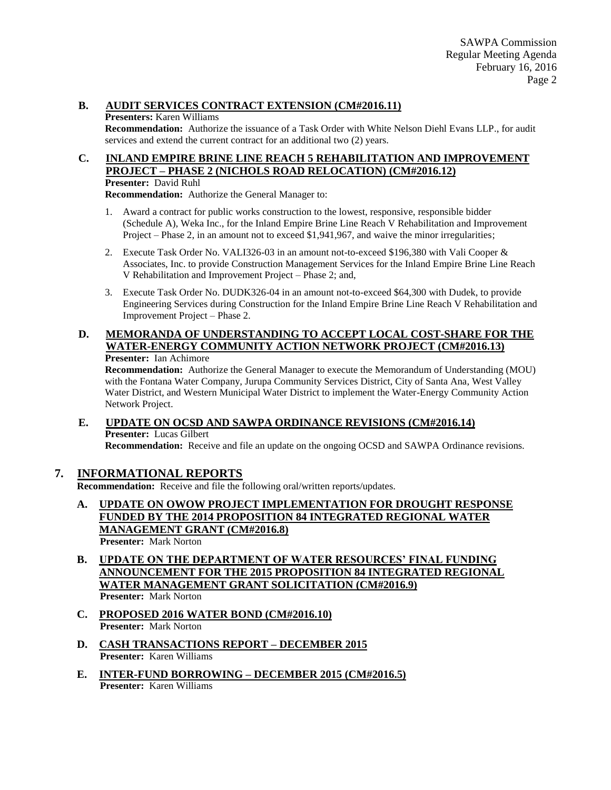#### **B. AUDIT SERVICES CONTRACT EXTENSION (CM#2016.11)**

#### **Presenters:** Karen Williams

**Recommendation:** Authorize the issuance of a Task Order with White Nelson Diehl Evans LLP., for audit services and extend the current contract for an additional two (2) years.

# **C. INLAND EMPIRE BRINE LINE REACH 5 REHABILITATION AND IMPROVEMENT PROJECT – PHASE 2 (NICHOLS ROAD RELOCATION) (CM#2016.12)**

#### **Presenter:** David Ruhl

**Recommendation:** Authorize the General Manager to:

- 1. Award a contract for public works construction to the lowest, responsive, responsible bidder (Schedule A), Weka Inc., for the Inland Empire Brine Line Reach V Rehabilitation and Improvement Project – Phase 2, in an amount not to exceed \$1,941,967, and waive the minor irregularities;
- 2. Execute Task Order No. VALI326-03 in an amount not-to-exceed \$196,380 with Vali Cooper & Associates, Inc. to provide Construction Management Services for the Inland Empire Brine Line Reach V Rehabilitation and Improvement Project – Phase 2; and,
- 3. Execute Task Order No. DUDK326-04 in an amount not-to-exceed \$64,300 with Dudek, to provide Engineering Services during Construction for the Inland Empire Brine Line Reach V Rehabilitation and Improvement Project – Phase 2.

#### **D. MEMORANDA OF UNDERSTANDING TO ACCEPT LOCAL COST-SHARE FOR THE WATER-ENERGY COMMUNITY ACTION NETWORK PROJECT (CM#2016.13) Presenter:** Ian Achimore

**Recommendation:** Authorize the General Manager to execute the Memorandum of Understanding (MOU) with the Fontana Water Company, Jurupa Community Services District, City of Santa Ana, West Valley Water District, and Western Municipal Water District to implement the Water-Energy Community Action Network Project.

### **E. UPDATE ON OCSD AND SAWPA ORDINANCE REVISIONS (CM#2016.14) Presenter:** Lucas Gilbert

**Recommendation:** Receive and file an update on the ongoing OCSD and SAWPA Ordinance revisions.

## **7. INFORMATIONAL REPORTS**

**Recommendation:** Receive and file the following oral/written reports/updates.

- **A. UPDATE ON OWOW PROJECT IMPLEMENTATION FOR DROUGHT RESPONSE FUNDED BY THE 2014 PROPOSITION 84 INTEGRATED REGIONAL WATER MANAGEMENT GRANT (CM#2016.8) Presenter:** Mark Norton
- **B. UPDATE ON THE DEPARTMENT OF WATER RESOURCES' FINAL FUNDING ANNOUNCEMENT FOR THE 2015 PROPOSITION 84 INTEGRATED REGIONAL WATER MANAGEMENT GRANT SOLICITATION (CM#2016.9) Presenter:** Mark Norton
- **C. PROPOSED 2016 WATER BOND (CM#2016.10) Presenter:** Mark Norton
- **D. CASH TRANSACTIONS REPORT – DECEMBER 2015 Presenter:** Karen Williams
- **E. INTER-FUND BORROWING – DECEMBER 2015 (CM#2016.5) Presenter:** Karen Williams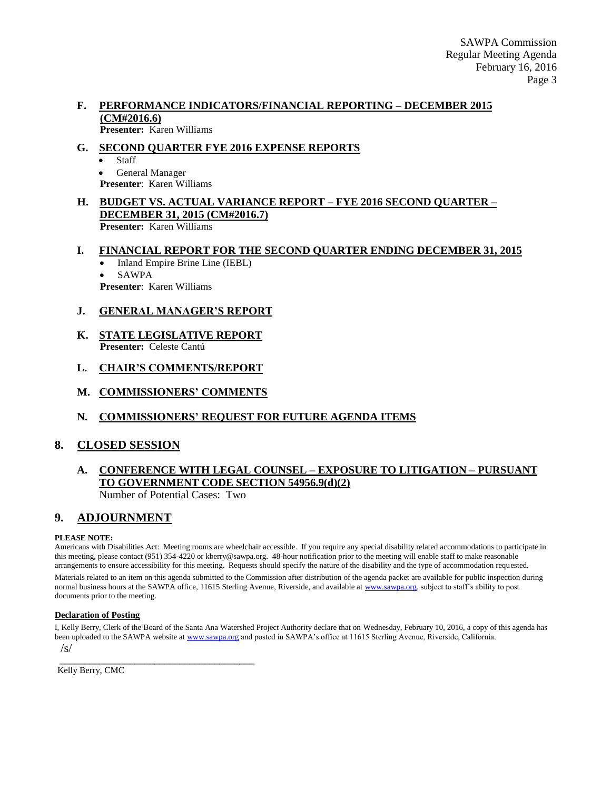#### **F. PERFORMANCE INDICATORS/FINANCIAL REPORTING – DECEMBER 2015 (CM#2016.6) Presenter:** Karen Williams

### **G. SECOND QUARTER FYE 2016 EXPENSE REPORTS**

 Staff General Manager

**Presenter**: Karen Williams

#### **H. BUDGET VS. ACTUAL VARIANCE REPORT – FYE 2016 SECOND QUARTER – DECEMBER 31, 2015 (CM#2016.7) Presenter:** Karen Williams

# **I. FINANCIAL REPORT FOR THE SECOND QUARTER ENDING DECEMBER 31, 2015**

 Inland Empire Brine Line (IEBL) SAWPA

**Presenter**: Karen Williams

### **J. GENERAL MANAGER'S REPORT**

**K. STATE LEGISLATIVE REPORT Presenter:** Celeste Cantú

### **L. CHAIR'S COMMENTS/REPORT**

**M. COMMISSIONERS' COMMENTS**

### **N. COMMISSIONERS' REQUEST FOR FUTURE AGENDA ITEMS**

### **8. CLOSED SESSION**

#### **A. CONFERENCE WITH LEGAL COUNSEL – EXPOSURE TO LITIGATION – PURSUANT TO GOVERNMENT CODE SECTION 54956.9(d)(2)** Number of Potential Cases: Two

### **9. ADJOURNMENT**

#### **PLEASE NOTE:**

Americans with Disabilities Act: Meeting rooms are wheelchair accessible. If you require any special disability related accommodations to participate in this meeting, please contact (951) 354-4220 or kberry@sawpa.org. 48-hour notification prior to the meeting will enable staff to make reasonable arrangements to ensure accessibility for this meeting. Requests should specify the nature of the disability and the type of accommodation requested.

Materials related to an item on this agenda submitted to the Commission after distribution of the agenda packet are available for public inspection during normal business hours at the SAWPA office, 11615 Sterling Avenue, Riverside, and available a[t www.sawpa.org,](http://www.sawpa.org/) subject to staff's ability to post documents prior to the meeting.

#### **Declaration of Posting**

I, Kelly Berry, Clerk of the Board of the Santa Ana Watershed Project Authority declare that on Wednesday, February 10, 2016, a copy of this agenda has been uploaded to the SAWPA website a[t www.sawpa.org](http://www.sawpa.org/) and posted in SAWPA's office at 11615 Sterling Avenue, Riverside, California. /s/

\_\_\_\_\_\_\_\_\_\_\_\_\_\_\_\_\_\_\_\_\_\_\_\_\_\_\_\_\_\_\_\_\_\_\_\_\_\_\_ Kelly Berry, CMC